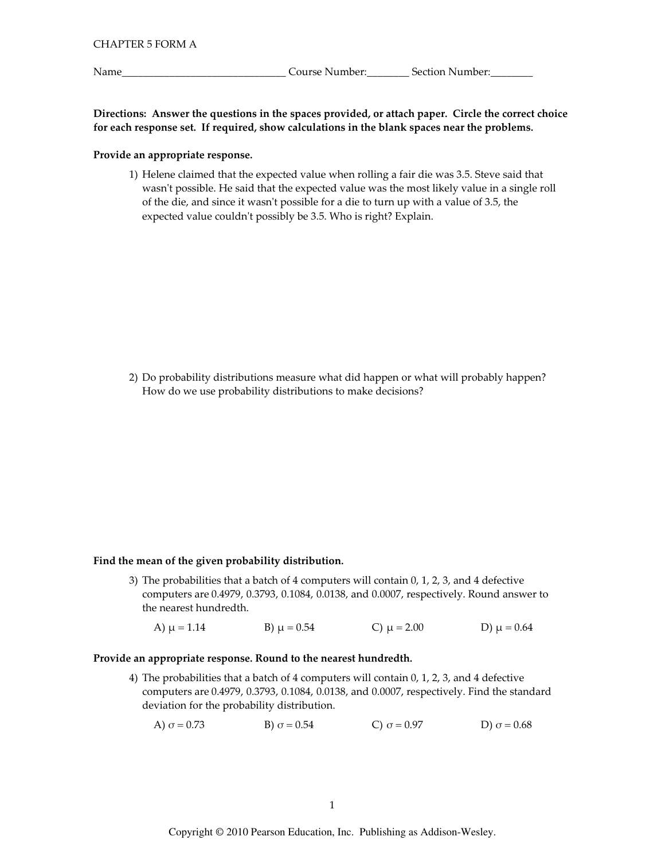Name\_

Directions: Answer the questions in the spaces provided, or attach paper. Circle the correct choice for each response set. If required, show calculations in the blank spaces near the problems.

# Provide an appropriate response.

1) Helene claimed that the expected value when rolling a fair die was 3.5. Steve said that wasn't possible. He said that the expected value was the most likely value in a single roll of the die, and since it wasn't possible for a die to turn up with a value of 3.5, the expected value couldn't possibly be 3.5. Who is right? Explain.

2) Do probability distributions measure what did happen or what will probably happen? How do we use probability distributions to make decisions?

# Find the mean of the given probability distribution.

3) The probabilities that a batch of 4 computers will contain  $0, 1, 2, 3$ , and 4 defective computers are 0.4979, 0.3793, 0.1084, 0.0138, and 0.0007, respectively. Round answer to the nearest hundredth.

```
B) \mu = 0.54A) \mu = 1.14C) \mu = 2.00D) \mu = 0.64
```
#### Provide an appropriate response. Round to the nearest hundredth.

4) The probabilities that a batch of 4 computers will contain 0, 1, 2, 3, and 4 defective computers are 0.4979, 0.3793, 0.1084, 0.0138, and 0.0007, respectively. Find the standard deviation for the probability distribution.

A) 
$$
\sigma = 0.73
$$
 \t\t B)  $\sigma = 0.54$  \t\t C)  $\sigma = 0.97$  \t\t D)  $\sigma = 0.68$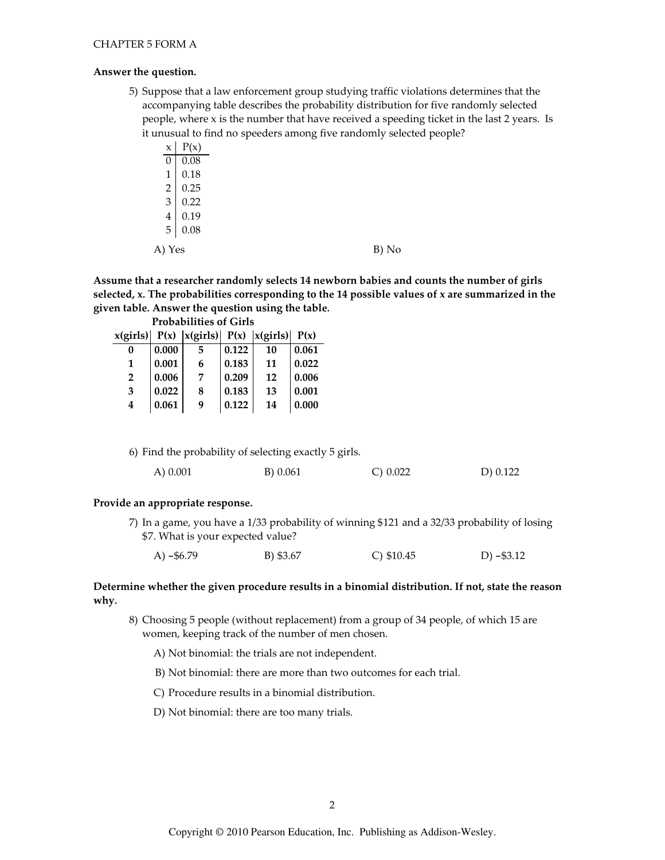## Answer the question.

5) Suppose that a law enforcement group studying traffic violations determines that the accompanying table describes the probability distribution for five randomly selected people, where x is the number that have received a speeding ticket in the last 2 years. Is it unusual to find no speeders among five randomly selected people?

| $\frac{\mathsf{x}}{\mathsf{y}}$ | P(x) |  |       |
|---------------------------------|------|--|-------|
| $\overline{0}$                  | 0.08 |  |       |
| $\mathbf{1}$                    | 0.18 |  |       |
| $\overline{c}$                  | 0.25 |  |       |
| 3                               | 0.22 |  |       |
| $\overline{4}$                  | 0.19 |  |       |
| 5                               | 0.08 |  |       |
| A) Yes                          |      |  | B) No |

Assume that a researcher randomly selects 14 newborn babies and counts the number of girls selected, x. The probabilities corresponding to the 14 possible values of x are summarized in the given table. Answer the question using the table.

| <b>Probabilities of Girls</b> |       |   |                   |                                                         |       |  |
|-------------------------------|-------|---|-------------------|---------------------------------------------------------|-------|--|
|                               |       |   |                   | $x(girls)$ $P(x)$ $ x(girls)$ $P(x)$ $ x(girls)$ $P(x)$ |       |  |
| 0                             | 0.000 | 5 | $\mid 0.122 \mid$ | 10                                                      | 0.061 |  |
| 1                             | 0.001 | 6 | 0.183             | 11                                                      | 0.022 |  |
| $\overline{2}$                | 0.006 | 7 | 0.209             | 12                                                      | 0.006 |  |
| 3                             | 0.022 | 8 | 0.183             | 13                                                      | 0.001 |  |
| 4                             | 0.061 | q | 0.122             | 14                                                      | 0.000 |  |

| 6) Find the probability of selecting exactly 5 girls. |
|-------------------------------------------------------|
|-------------------------------------------------------|

|  | A) 0.001 | B) 0.061 | $C$ ) 0.022 | D) 0.122 |
|--|----------|----------|-------------|----------|
|--|----------|----------|-------------|----------|

#### Provide an appropriate response.

7) In a game, you have a 1/33 probability of winning \$121 and a 32/33 probability of losing \$7. What is your expected value?

| A) $-$ \$6.79 | B) \$3.67 | $C)$ \$10.45 | D) $-$ \$3.12 |
|---------------|-----------|--------------|---------------|
|               |           |              |               |

# Determine whether the given procedure results in a binomial distribution. If not, state the reason why.

8) Choosing 5 people (without replacement) from a group of 34 people, of which 15 are women, keeping track of the number of men chosen.

A) Not binomial: the trials are not independent.

B) Not binomial: there are more than two outcomes for each trial.

C) Procedure results in a binomial distribution.

D) Not binomial: there are too many trials.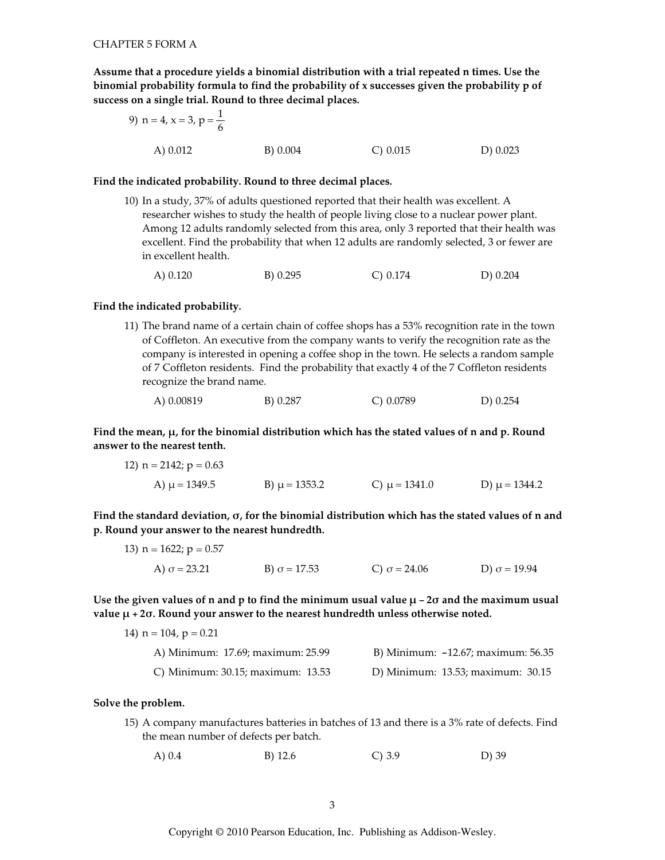Assume that a procedure yields a binomial distribution with a trial repeated n times. Use the binomial probability formula to find the probability of x successes given the probability p of success on a single trial. Round to three decimal places.

9) n = 4, x = 3, p = 
$$
\frac{1}{6}
$$
  
A) 0.012  
B) 0.004  
C) 0.015  
D) 0.023

#### Find the indicated probability. Round to three decimal places.

10) In a study, 37% of adults questioned reported that their health was excellent. A researcher wishes to study the health of people living close to a nuclear power plant. Among 12 adults randomly selected from this area, only 3 reported that their health was excellent. Find the probability that when 12 adults are randomly selected, 3 or fewer are in excellent health.

 $B) 0.295$  $C) 0.174$ A $) 0.120$  $D) 0.204$ 

## Find the indicated probability.

11) The brand name of a certain chain of coffee shops has a 53% recognition rate in the town of Coffleton. An executive from the company wants to verify the recognition rate as the company is interested in opening a coffee shop in the town. He selects a random sample of 7 Coffleton residents. Find the probability that exactly 4 of the 7 Coffleton residents recognize the brand name.

| A) 0.00819 | B) 0.287 | $C$ ) 0.0789 | D) 0.254 |
|------------|----------|--------------|----------|
|            |          |              |          |

Find the mean,  $\mu$ , for the binomial distribution which has the stated values of n and p. Round answer to the nearest tenth.

12) n = 2142; p = 0.63  
A) 
$$
\mu
$$
 = 1349.5  
B)  $\mu$  = 1353.2  
C)  $\mu$  = 1341.0  
D)  $\mu$  = 1344.2

Find the standard deviation,  $\sigma$ , for the binomial distribution which has the stated values of n and p. Round your answer to the nearest hundredth.

13) n = 1622; p = 0.57  
A) 
$$
\sigma
$$
 = 23.21  
B)  $\sigma$  = 17.53  
C)  $\sigma$  = 24.06  
D)  $\sigma$  = 19.94

Use the given values of n and p to find the minimum usual value  $\mu$  – 20 and the maximum usual value  $\mu$  + 2 $\sigma$ . Round your answer to the nearest hundredth unless otherwise noted.

| 14) $n = 104$ , $p = 0.21$        |                                       |
|-----------------------------------|---------------------------------------|
| A) Minimum: 17.69; maximum: 25.99 | B) Minimum: $-12.67$ ; maximum: 56.35 |
| C) Minimum: 30.15; maximum: 13.53 | D) Minimum: 13.53; maximum: 30.15     |

#### Solve the problem.

15) A company manufactures batteries in batches of 13 and there is a 3% rate of defects. Find the mean number of defects per batch.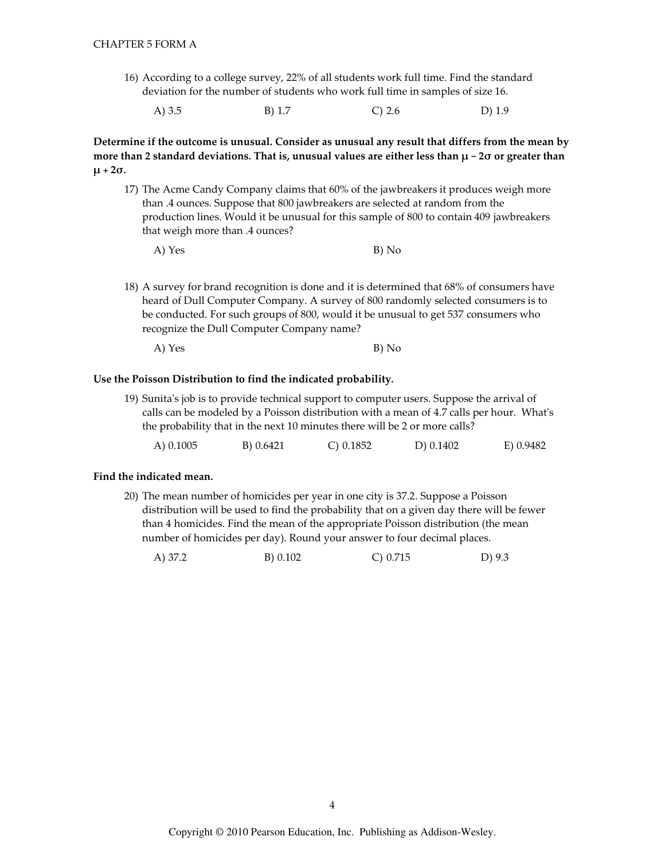16) According to a college survey, 22% of all students work full time. Find the standard deviation for the number of students who work full time in samples of size 16.

 $B)$  1.7  $C)$  2.6  $D)$  1.9 A)  $3.5$ 

Determine if the outcome is unusual. Consider as unusual any result that differs from the mean by more than 2 standard deviations. That is, unusual values are either less than  $\mu$  - 20 or greater than  $\mu$  + 2 $\sigma$ .

17) The Acme Candy Company claims that 60% of the jawbreakers it produces weigh more than .4 ounces. Suppose that 800 jawbreakers are selected at random from the production lines. Would it be unusual for this sample of 800 to contain 409 jawbreakers that weigh more than .4 ounces?

| A) Yes | B) No |
|--------|-------|
|        |       |

18) A survey for brand recognition is done and it is determined that 68% of consumers have heard of Dull Computer Company. A survey of 800 randomly selected consumers is to be conducted. For such groups of 800, would it be unusual to get 537 consumers who recognize the Dull Computer Company name?

A) Yes B) No

#### Use the Poisson Distribution to find the indicated probability.

19) Sunita's job is to provide technical support to computer users. Suppose the arrival of calls can be modeled by a Poisson distribution with a mean of 4.7 calls per hour. What's the probability that in the next 10 minutes there will be 2 or more calls?

| A) 0.1005 | B) 0.6421 | $C$ ) 0.1852 | D) 0.1402 | E) 0.9482 |
|-----------|-----------|--------------|-----------|-----------|
|-----------|-----------|--------------|-----------|-----------|

## Find the indicated mean.

20) The mean number of homicides per year in one city is 37.2. Suppose a Poisson distribution will be used to find the probability that on a given day there will be fewer than 4 homicides. Find the mean of the appropriate Poisson distribution (the mean number of homicides per day). Round your answer to four decimal places.

| A) 37.2 | B) 0.102 | $C$ ) 0.715 | D) 9.3 |
|---------|----------|-------------|--------|
|---------|----------|-------------|--------|